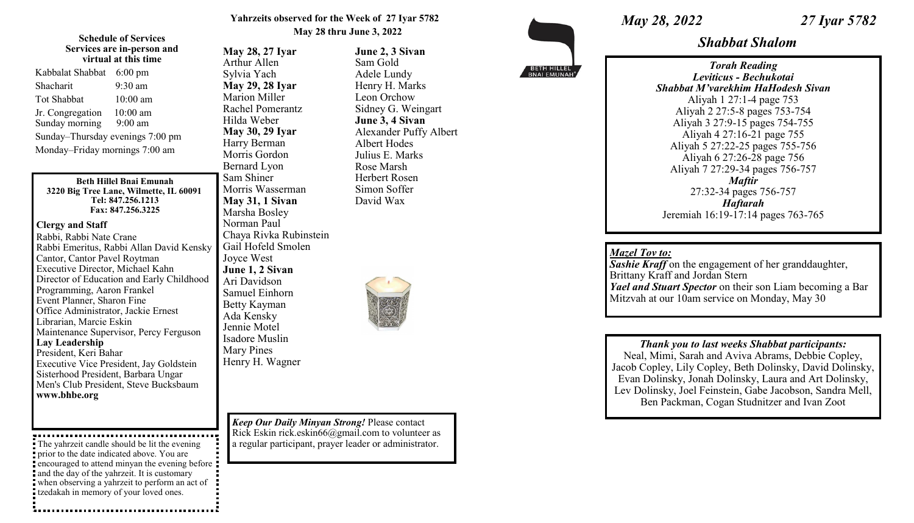## **Yahrzeits observed for the Week of 27 Iyar 5782 May 28 thru June 3, 2022**

### **Schedule of Services Services are in-person and virtual at this time**

| Kabbalat Shabbat                 | $6:00 \text{ pm}$ |
|----------------------------------|-------------------|
| Shacharit                        | 9:30 am           |
| <b>Tot Shabbat</b>               | $10:00$ am        |
| Jr. Congregation                 | 10:00 am          |
| Sunday morning                   | $9:00 \text{ am}$ |
| Sunday-Thursday evenings 7:00 pm |                   |
| Monday-Friday mornings 7:00 am   |                   |
|                                  |                   |

#### **Beth Hillel Bnai Emunah 3220 Big Tree Lane, Wilmette, IL 60091 Tel: 847.256.1213 Fax: 847.256.3225**

## **Clergy and Staff**

Rabbi, Rabbi Nate Crane Rabbi Emeritus, Rabbi Allan David Kensky Cantor, Cantor Pavel Roytman Executive Director, Michael Kahn Director of Education and Early Childhood Programming, Aaron Frankel Event Planner, Sharon Fine Office Administrator, Jackie Ernest Librarian, Marcie Eskin Maintenance Supervisor, Percy Ferguson **Lay Leadership** President, Keri Bahar Executive Vice President, Jay Goldstein Sisterhood President, Barbara Ungar Men's Club President, Steve Bucksbaum **www.bhbe.org**

The yahrzeit candle should be lit the evening prior to the date indicated above. You are encouraged to attend minyan the evening before and the day of the yahrzeit. It is customary when observing a yahrzeit to perform an act of tzedakah in memory of your loved ones.

**May 28, 27 Iyar** Arthur Allen Sylvia Yach **May 29, 28 Iyar** Marion Miller Rachel Pomerantz Hilda Weber **May 30, 29 Iyar** Harry Berman Morris Gordon Bernard Lyon Sam Shiner Morris Wasserman **May 31, 1 Sivan** Marsha Bosley Norman Paul Chaya Rivka Rubinstein Gail Hofeld Smolen Joyce West **June 1, 2 Sivan** Ari Davidson Samuel Einhorn Betty Kayman Ada Kensky Jennie Motel Isadore Muslin Mary Pines Henry H. Wagner

**June 2, 3 Sivan** Sam Gold Adele Lundy Henry H. Marks Leon Orchow Sidney G. Weingart **June 3, 4 Sivan**

Albert Hodes Julius E. Marks Rose Marsh Herbert Rosen Simon Soffer David Wax

Alexander Puffy Albert

*Keep Our Daily Minyan Strong!* Please contact Rick Eskin rick.eskin66@gmail.com to volunteer as a regular participant, prayer leader or administrator.

BETH HILLEL

*May 28, 2022 27 Iyar 5782* 

*Shabbat Shalom*

*Torah Reading Leviticus - Bechukotai Shabbat M'varekhim HaHodesh Sivan* Aliyah 1 27:1-4 page 753 Aliyah 2 27:5-8 pages 753-754 Aliyah 3 27:9-15 pages 754-755 Aliyah 4 27:16-21 page 755 Aliyah 5 27:22-25 pages 755-756 Aliyah 6 27:26-28 page 756 Aliyah 7 27:29-34 pages 756-757 *Maftir* 27:32-34 pages 756-757 *Haftarah* Jeremiah 16:19-17:14 pages 763-765

# *Mazel Tov to:*

**Sashie Kraff** on the engagement of her granddaughter, Brittany Kraff and Jordan Stern *Yael and Stuart Spector* on their son Liam becoming a Bar Mitzvah at our 10am service on Monday, May 30

*Thank you to last weeks Shabbat participants:*  Neal, Mimi, Sarah and Aviva Abrams, Debbie Copley, Jacob Copley, Lily Copley, Beth Dolinsky, David Dolinsky, Evan Dolinsky, Jonah Dolinsky, Laura and Art Dolinsky, Lev Dolinsky, Joel Feinstein, Gabe Jacobson, Sandra Mell, Ben Packman, Cogan Studnitzer and Ivan Zoot